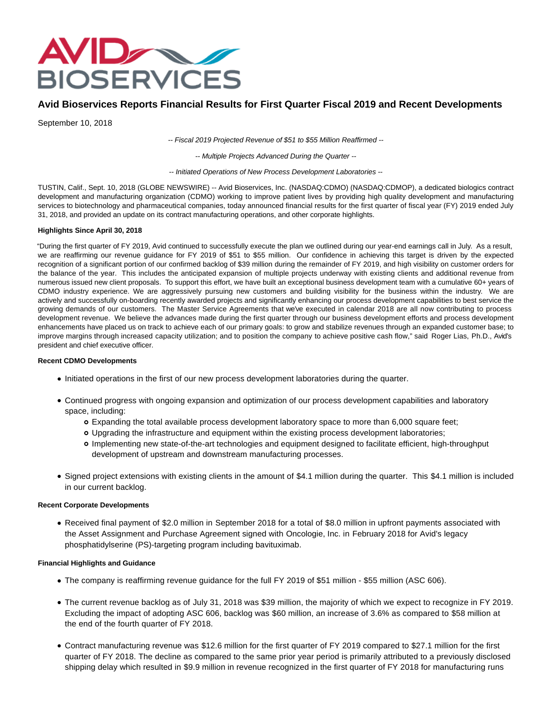

# **Avid Bioservices Reports Financial Results for First Quarter Fiscal 2019 and Recent Developments**

September 10, 2018

-- Fiscal 2019 Projected Revenue of \$51 to \$55 Million Reaffirmed --

-- Multiple Projects Advanced During the Quarter --

-- Initiated Operations of New Process Development Laboratories --

TUSTIN, Calif., Sept. 10, 2018 (GLOBE NEWSWIRE) -- Avid Bioservices, Inc. (NASDAQ:CDMO) (NASDAQ:CDMOP), a dedicated biologics contract development and manufacturing organization (CDMO) working to improve patient lives by providing high quality development and manufacturing services to biotechnology and pharmaceutical companies, today announced financial results for the first quarter of fiscal year (FY) 2019 ended July 31, 2018, and provided an update on its contract manufacturing operations, and other corporate highlights.

#### **Highlights Since April 30, 2018**

"During the first quarter of FY 2019, Avid continued to successfully execute the plan we outlined during our year-end earnings call in July. As a result, we are reaffirming our revenue guidance for FY 2019 of \$51 to \$55 million. Our confidence in achieving this target is driven by the expected recognition of a significant portion of our confirmed backlog of \$39 million during the remainder of FY 2019, and high visibility on customer orders for the balance of the year. This includes the anticipated expansion of multiple projects underway with existing clients and additional revenue from numerous issued new client proposals. To support this effort, we have built an exceptional business development team with a cumulative 60+ years of CDMO industry experience. We are aggressively pursuing new customers and building visibility for the business within the industry. We are actively and successfully on-boarding recently awarded projects and significantly enhancing our process development capabilities to best service the growing demands of our customers. The Master Service Agreements that we've executed in calendar 2018 are all now contributing to process development revenue. We believe the advances made during the first quarter through our business development efforts and process development enhancements have placed us on track to achieve each of our primary goals: to grow and stabilize revenues through an expanded customer base; to improve margins through increased capacity utilization; and to position the company to achieve positive cash flow," said Roger Lias, Ph.D., Avid's president and chief executive officer.

#### **Recent CDMO Developments**

- Initiated operations in the first of our new process development laboratories during the quarter.
- Continued progress with ongoing expansion and optimization of our process development capabilities and laboratory space, including:
	- Expanding the total available process development laboratory space to more than 6,000 square feet;
	- Upgrading the infrastructure and equipment within the existing process development laboratories;
	- Implementing new state-of-the-art technologies and equipment designed to facilitate efficient, high-throughput development of upstream and downstream manufacturing processes.
- Signed project extensions with existing clients in the amount of \$4.1 million during the quarter. This \$4.1 million is included in our current backlog.

## **Recent Corporate Developments**

Received final payment of \$2.0 million in September 2018 for a total of \$8.0 million in upfront payments associated with the Asset Assignment and Purchase Agreement signed with Oncologie, Inc. in February 2018 for Avid's legacy phosphatidylserine (PS)-targeting program including bavituximab.

#### **Financial Highlights and Guidance**

- The company is reaffirming revenue guidance for the full FY 2019 of \$51 million \$55 million (ASC 606).
- The current revenue backlog as of July 31, 2018 was \$39 million, the majority of which we expect to recognize in FY 2019. Excluding the impact of adopting ASC 606, backlog was \$60 million, an increase of 3.6% as compared to \$58 million at the end of the fourth quarter of FY 2018.
- Contract manufacturing revenue was \$12.6 million for the first quarter of FY 2019 compared to \$27.1 million for the first quarter of FY 2018. The decline as compared to the same prior year period is primarily attributed to a previously disclosed shipping delay which resulted in \$9.9 million in revenue recognized in the first quarter of FY 2018 for manufacturing runs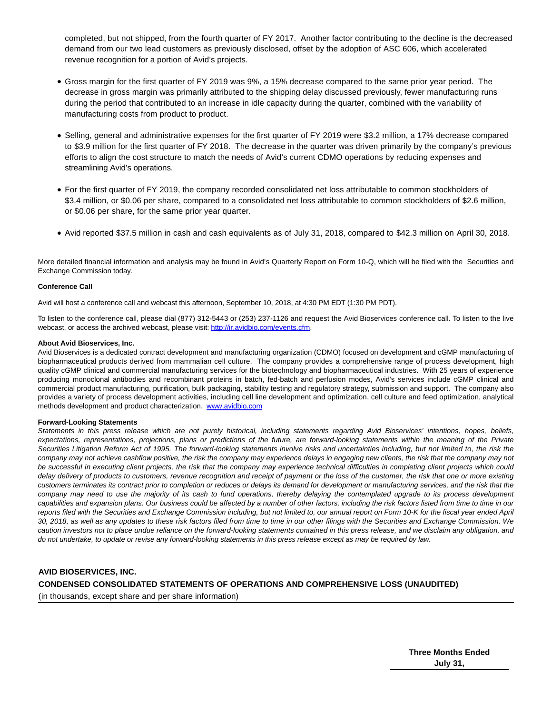completed, but not shipped, from the fourth quarter of FY 2017. Another factor contributing to the decline is the decreased demand from our two lead customers as previously disclosed, offset by the adoption of ASC 606, which accelerated revenue recognition for a portion of Avid's projects.

- Gross margin for the first quarter of FY 2019 was 9%, a 15% decrease compared to the same prior year period. The decrease in gross margin was primarily attributed to the shipping delay discussed previously, fewer manufacturing runs during the period that contributed to an increase in idle capacity during the quarter, combined with the variability of manufacturing costs from product to product.
- Selling, general and administrative expenses for the first quarter of FY 2019 were \$3.2 million, a 17% decrease compared to \$3.9 million for the first quarter of FY 2018. The decrease in the quarter was driven primarily by the company's previous efforts to align the cost structure to match the needs of Avid's current CDMO operations by reducing expenses and streamlining Avid's operations.
- For the first quarter of FY 2019, the company recorded consolidated net loss attributable to common stockholders of \$3.4 million, or \$0.06 per share, compared to a consolidated net loss attributable to common stockholders of \$2.6 million, or \$0.06 per share, for the same prior year quarter.
- Avid reported \$37.5 million in cash and cash equivalents as of July 31, 2018, compared to \$42.3 million on April 30, 2018.

More detailed financial information and analysis may be found in Avid's Quarterly Report on Form 10-Q, which will be filed with the Securities and Exchange Commission today.

## **Conference Call**

Avid will host a conference call and webcast this afternoon, September 10, 2018, at 4:30 PM EDT (1:30 PM PDT).

To listen to the conference call, please dial (877) 312-5443 or (253) 237-1126 and request the Avid Bioservices conference call. To listen to the live webcast, or access the archived webcast, please visit[: http://ir.avidbio.com/events.cfm.](https://www.globenewswire.com/Tracker?data=h92nUxCyaqYaGqSAmBpVK-svsVCyvWykODBNjaXokVqxsOBh5q_OJcsGhlka3euAMsnczDKXOz5QJyB8jTsnJ44ndQRRGzfT0dHeubi0dcDx19hWRYY84jhEVZH195QD)

## **About Avid Bioservices, Inc.**

Avid Bioservices is a dedicated contract development and manufacturing organization (CDMO) focused on development and cGMP manufacturing of biopharmaceutical products derived from mammalian cell culture. The company provides a comprehensive range of process development, high quality cGMP clinical and commercial manufacturing services for the biotechnology and biopharmaceutical industries. With 25 years of experience producing monoclonal antibodies and recombinant proteins in batch, fed-batch and perfusion modes, Avid's services include cGMP clinical and commercial product manufacturing, purification, bulk packaging, stability testing and regulatory strategy, submission and support. The company also provides a variety of process development activities, including cell line development and optimization, cell culture and feed optimization, analytical methods development and product characterization. [www.avidbio.com](https://www.globenewswire.com/Tracker?data=zX54gOuPtQ1uca5xfwfh5P9nQ8LXmV1qhAZs_toE4RWp5RyW_VsJD2xHPVQcai_cIzKeFnXBYQw1X6TxqvwmvQ==)

## **Forward-Looking Statements**

Statements in this press release which are not purely historical, including statements regarding Avid Bioservices' intentions, hopes, beliefs, expectations, representations, projections, plans or predictions of the future, are forward-looking statements within the meaning of the Private Securities Litigation Reform Act of 1995. The forward-looking statements involve risks and uncertainties including, but not limited to, the risk the company may not achieve cashflow positive, the risk the company may experience delays in engaging new clients, the risk that the company may not be successful in executing client projects, the risk that the company may experience technical difficulties in completing client projects which could delay delivery of products to customers, revenue recognition and receipt of payment or the loss of the customer, the risk that one or more existing customers terminates its contract prior to completion or reduces or delays its demand for development or manufacturing services, and the risk that the company may need to use the majority of its cash to fund operations, thereby delaying the contemplated upgrade to its process development capabilities and expansion plans. Our business could be affected by a number of other factors, including the risk factors listed from time to time in our reports filed with the Securities and Exchange Commission including, but not limited to, our annual report on Form 10-K for the fiscal year ended April 30, 2018, as well as any updates to these risk factors filed from time to time in our other filings with the Securities and Exchange Commission. We caution investors not to place undue reliance on the forward-looking statements contained in this press release, and we disclaim any obligation, and do not undertake, to update or revise any forward-looking statements in this press release except as may be required by law.

# **AVID BIOSERVICES, INC. CONDENSED CONSOLIDATED STATEMENTS OF OPERATIONS AND COMPREHENSIVE LOSS (UNAUDITED)** (in thousands, except share and per share information)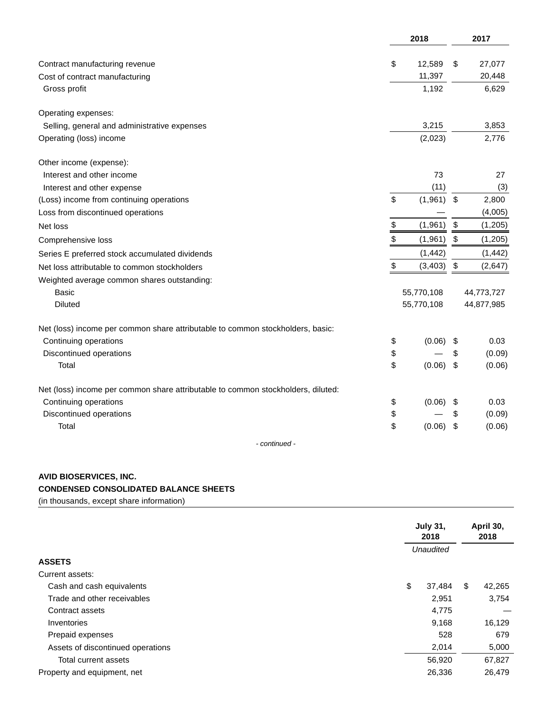|                                                                                  |            | 2018       |            | 2017       |  |
|----------------------------------------------------------------------------------|------------|------------|------------|------------|--|
|                                                                                  | \$         | 12,589     | S          | 27,077     |  |
| Contract manufacturing revenue                                                   |            | 11,397     |            | 20,448     |  |
| Cost of contract manufacturing                                                   |            |            |            |            |  |
| Gross profit                                                                     |            | 1,192      |            | 6,629      |  |
| Operating expenses:                                                              |            |            |            |            |  |
| Selling, general and administrative expenses                                     |            | 3,215      |            | 3,853      |  |
| Operating (loss) income                                                          |            | (2,023)    |            | 2,776      |  |
| Other income (expense):                                                          |            |            |            |            |  |
| Interest and other income                                                        |            | 73         |            | 27         |  |
| Interest and other expense                                                       |            | (11)       |            | (3)        |  |
| (Loss) income from continuing operations                                         | \$         | (1,961)    | \$         | 2,800      |  |
| Loss from discontinued operations                                                |            |            |            | (4,005)    |  |
| Net loss                                                                         | \$         | (1,961)    | \$         | (1, 205)   |  |
| Comprehensive loss                                                               | \$         | (1,961)    | \$         | (1, 205)   |  |
| Series E preferred stock accumulated dividends                                   |            | (1, 442)   |            | (1, 442)   |  |
| Net loss attributable to common stockholders                                     | \$         | (3, 403)   | \$         | (2,647)    |  |
| Weighted average common shares outstanding:                                      |            |            |            |            |  |
| Basic                                                                            | 55,770,108 |            | 44,773,727 |            |  |
| <b>Diluted</b>                                                                   |            | 55,770,108 |            | 44,877,985 |  |
| Net (loss) income per common share attributable to common stockholders, basic:   |            |            |            |            |  |
| Continuing operations                                                            | \$         | (0.06)     | \$         | 0.03       |  |
| Discontinued operations                                                          | \$         |            | \$         | (0.09)     |  |
| Total                                                                            | \$         | (0.06)     | \$         | (0.06)     |  |
| Net (loss) income per common share attributable to common stockholders, diluted: |            |            |            |            |  |
| Continuing operations                                                            | \$         | (0.06)     | \$         | 0.03       |  |
| Discontinued operations                                                          | \$         |            | \$         | (0.09)     |  |
| Total                                                                            | \$         | (0.06)     | \$         | (0.06)     |  |

- continued -

# **AVID BIOSERVICES, INC. CONDENSED CONSOLIDATED BALANCE SHEETS**

(in thousands, except share information)

|                                   |    | <b>July 31,</b><br>2018<br><b>Unaudited</b> |   | April 30,<br>2018 |  |
|-----------------------------------|----|---------------------------------------------|---|-------------------|--|
|                                   |    |                                             |   |                   |  |
| <b>ASSETS</b>                     |    |                                             |   |                   |  |
| Current assets:                   |    |                                             |   |                   |  |
| Cash and cash equivalents         | \$ | 37,484                                      | S | 42,265            |  |
| Trade and other receivables       |    | 2,951                                       |   | 3,754             |  |
| Contract assets                   |    | 4,775                                       |   |                   |  |
| Inventories                       |    | 9,168                                       |   | 16,129            |  |
| Prepaid expenses                  |    | 528                                         |   | 679               |  |
| Assets of discontinued operations |    | 2,014                                       |   | 5,000             |  |
| Total current assets              |    | 56,920                                      |   | 67,827            |  |
| Property and equipment, net       |    | 26,336                                      |   | 26.479            |  |